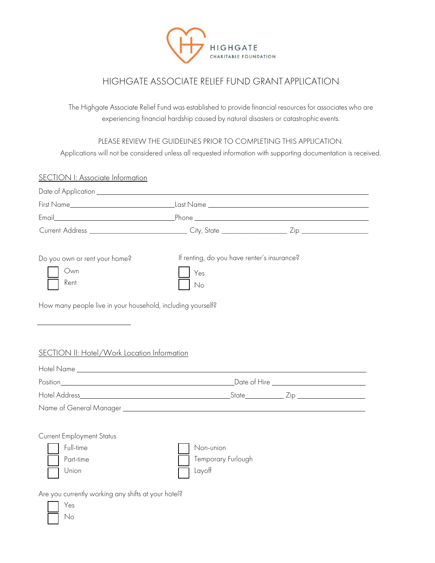

## HIGHGATE ASSOCIATE RELIEF FUND GRANT APPLICATION

The Highgate Associate Relief Fund was established to provide financial resources for associates who are experiencing financial hardship caused by natural disasters or catastrophic events.

PLEASE REVIEW THE GUIDELINES PRIOR TO COMPLETING THIS APPLICATION.

Applications will not be considered unless all requested information with supporting documentation is received.

| <b>SECTION I: Associate Information</b>                                                                                                                                                   |                                                          |  |
|-------------------------------------------------------------------------------------------------------------------------------------------------------------------------------------------|----------------------------------------------------------|--|
|                                                                                                                                                                                           |                                                          |  |
|                                                                                                                                                                                           |                                                          |  |
| Email <b>Example 2018</b> Phone <b>Phone Phone Phone Phone Phone Phone Phone Phone Phone Phone Phone Phone Phone Phone Phone Phone Phone Phone Phone Phone Phone Phone Phone Phone Ph</b> |                                                          |  |
|                                                                                                                                                                                           |                                                          |  |
| Do you own or rent your home?<br>Own<br>Rent<br>How many people live in your household, including yourself?<br>SECTION II: Hotel/Work Location Information                                | If renting, do you have renter's insurance?<br>Yes<br>No |  |
|                                                                                                                                                                                           |                                                          |  |
|                                                                                                                                                                                           |                                                          |  |
|                                                                                                                                                                                           |                                                          |  |
| Name of General Manager Name of General Manager<br><b>Current Employment Status</b>                                                                                                       |                                                          |  |
| Full-time<br>Part-time<br>Union                                                                                                                                                           | Non-union<br>Temporary Furlough<br>Layoff                |  |
| Are you currently working any shifts at your hotel?<br>Yes                                                                                                                                |                                                          |  |

o No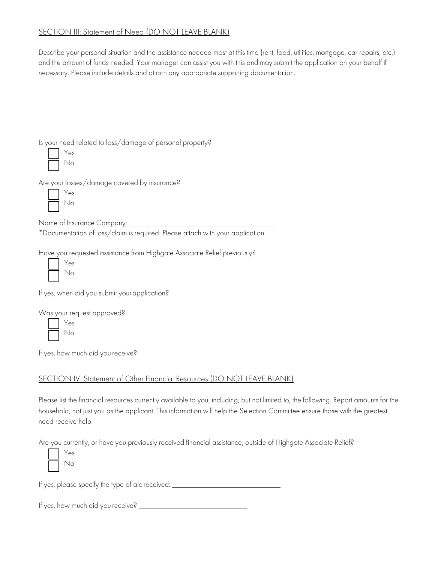## SECTION III: Statement of Need (DO NOT LEAVE BLANK)

Describe your personal situation and the assistance needed most at this time (rent, food, utilities, mortgage, car repairs, etc.) and the amount of funds needed. Your manager can assist you with this and may submit the application on your behalf if necessary. Please include details and attach any appropriate supporting documentation.

Is your need related to loss/damage of personal property?

Are your losses/damage covered by insurance?

| Ś |
|---|
|   |

Name of Insurance Company: \_\_\_\_\_\_\_\_\_\_\_

\*Documentation of loss/claim is required. Please attach with your application.

Have you requested assistance from Highgate Associate Relief previously?

| S<br>Э |
|--------|
|        |

If yes, when did you submit yourapplication?

Was your request approved?

o Yes No

If yes, how much did you receive?

## SECTION IV: Statement of Other Financial Resources (DO NOT LEAVE BLANK)

Please list the financial resources currently available to you, including, but not limited to, the following. Report amounts for the household, not just you as the applicant. This information will help the Selection Committee ensure those with the greatest need receive help.

Are you currently, or have you previously received financial assistance, outside of Highgate Associate Relief?

| S<br>× |
|--------|
|        |

If yes, please specify the type of aidreceived:

If yes, how much did you receive?